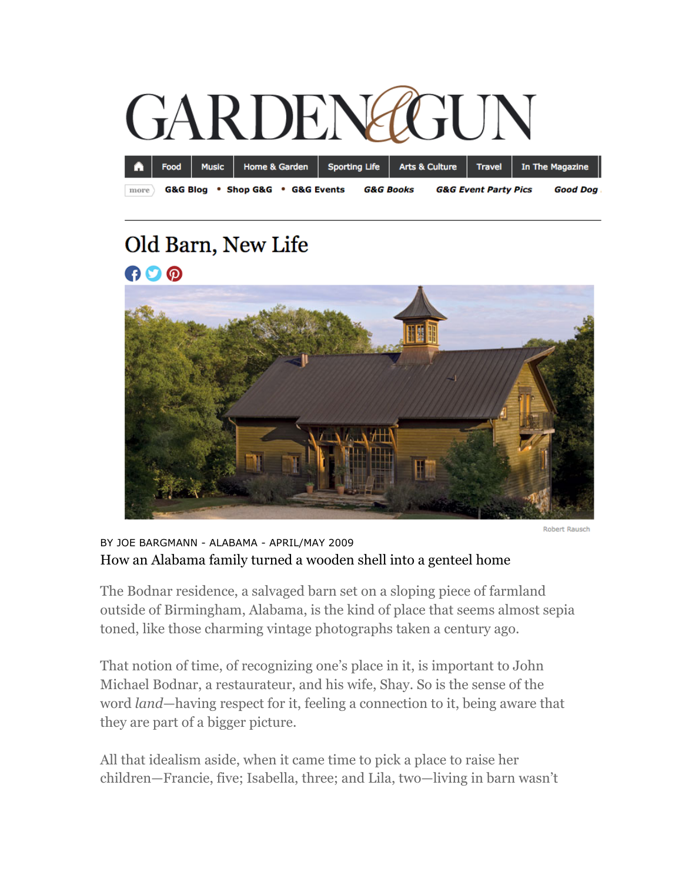

## Old Barn, New Life GOO



Robert Rausch

## BY JOE BARGMANN - ALABAMA - APRIL/MAY 2009 How an Alabama family turned a wooden shell into a genteel home

The Bodnar residence, a salvaged barn set on a sloping piece of farmland outside of Birmingham, Alabama, is the kind of place that seems almost sepia toned, like those charming vintage photographs taken a century ago.

That notion of time, of recognizing one's place in it, is important to John Michael Bodnar, a restaurateur, and his wife, Shay. So is the sense of the word *land*—having respect for it, feeling a connection to it, being aware that they are part of a bigger picture.

All that idealism aside, when it came time to pick a place to raise her children—Francie, five; Isabella, three; and Lila, two—living in barn wasn't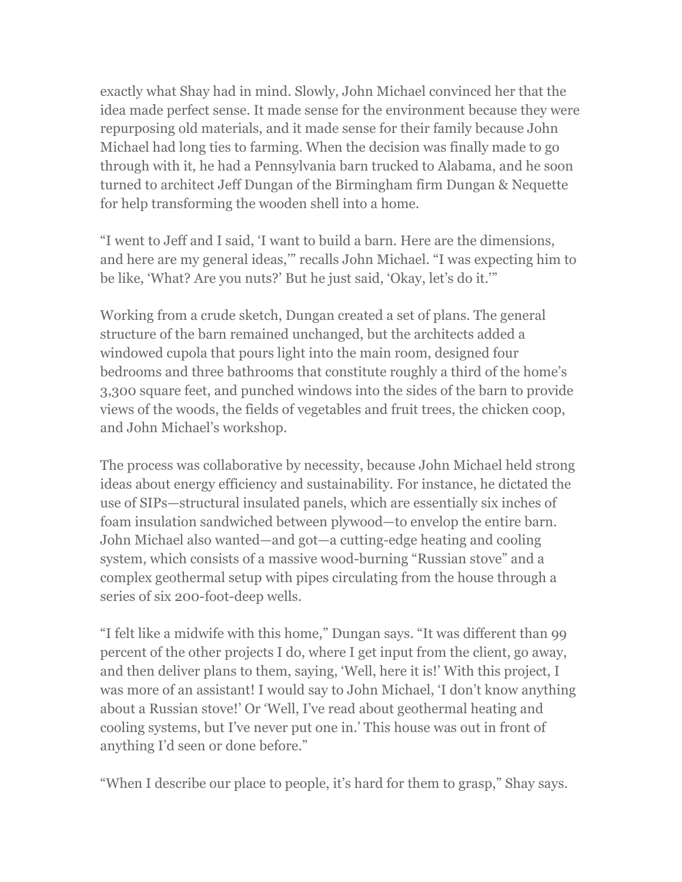exactly what Shay had in mind. Slowly, John Michael convinced her that the idea made perfect sense. It made sense for the environment because they were repurposing old materials, and it made sense for their family because John Michael had long ties to farming. When the decision was finally made to go through with it, he had a Pennsylvania barn trucked to Alabama, and he soon turned to architect Jeff Dungan of the Birmingham firm Dungan & Nequette for help transforming the wooden shell into a home.

"I went to Jeff and I said, 'I want to build a barn. Here are the dimensions, and here are my general ideas,'" recalls John Michael. "I was expecting him to be like, 'What? Are you nuts?' But he just said, 'Okay, let's do it.'"

Working from a crude sketch, Dungan created a set of plans. The general structure of the barn remained unchanged, but the architects added a windowed cupola that pours light into the main room, designed four bedrooms and three bathrooms that constitute roughly a third of the home's 3,300 square feet, and punched windows into the sides of the barn to provide views of the woods, the fields of vegetables and fruit trees, the chicken coop, and John Michael's workshop.

The process was collaborative by necessity, because John Michael held strong ideas about energy efficiency and sustainability. For instance, he dictated the use of SIPs—structural insulated panels, which are essentially six inches of foam insulation sandwiched between plywood—to envelop the entire barn. John Michael also wanted—and got—a cutting-edge heating and cooling system, which consists of a massive wood-burning "Russian stove" and a complex geothermal setup with pipes circulating from the house through a series of six 200-foot-deep wells.

"I felt like a midwife with this home," Dungan says. "It was different than 99 percent of the other projects I do, where I get input from the client, go away, and then deliver plans to them, saying, 'Well, here it is!' With this project, I was more of an assistant! I would say to John Michael, 'I don't know anything about a Russian stove!' Or 'Well, I've read about geothermal heating and cooling systems, but I've never put one in.' This house was out in front of anything I'd seen or done before."

"When I describe our place to people, it's hard for them to grasp," Shay says.